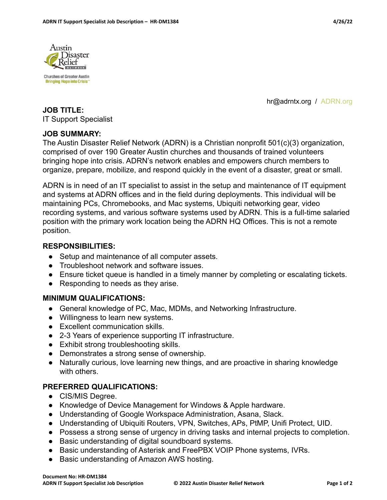

hr@adrntx.org / ADRN.org

#### **JOB TITLE:** IT Support Specialist

#### **JOB SUMMARY:**

The Austin Disaster Relief Network (ADRN) is a Christian nonprofit 501(c)(3) organization, comprised of over 190 Greater Austin churches and thousands of trained volunteers bringing hope into crisis. ADRN's network enables and empowers church members to organize, prepare, mobilize, and respond quickly in the event of a disaster, great or small.

ADRN is in need of an IT specialist to assist in the setup and maintenance of IT equipment and systems at ADRN offices and in the field during deployments. This individual will be maintaining PCs, Chromebooks, and Mac systems, Ubiquiti networking gear, video recording systems, and various software systems used by ADRN. This is a full-time salaried position with the primary work location being the ADRN HQ Offices. This is not a remote position.

### **RESPONSIBILITIES:**

- Setup and maintenance of all computer assets.
- Troubleshoot network and software issues.
- Ensure ticket queue is handled in a timely manner by completing or escalating tickets.
- Responding to needs as they arise.

#### **MINIMUM QUALIFICATIONS:**

- General knowledge of PC, Mac, MDMs, and Networking Infrastructure.
- Willingness to learn new systems.
- Excellent communication skills.
- 2-3 Years of experience supporting IT infrastructure.
- Exhibit strong troubleshooting skills.
- Demonstrates a strong sense of ownership.
- Naturally curious, love learning new things, and are proactive in sharing knowledge with others.

#### **PREFERRED QUALIFICATIONS:**

- CIS/MIS Degree.
- Knowledge of Device Management for Windows & Apple hardware.
- Understanding of Google Workspace Administration, Asana, Slack.
- Understanding of Ubiquiti Routers, VPN, Switches, APs, PtMP, Unifi Protect, UID.
- Possess a strong sense of urgency in driving tasks and internal projects to completion.
- Basic understanding of digital soundboard systems.
- Basic understanding of Asterisk and FreePBX VOIP Phone systems, IVRs.
- Basic understanding of Amazon AWS hosting.